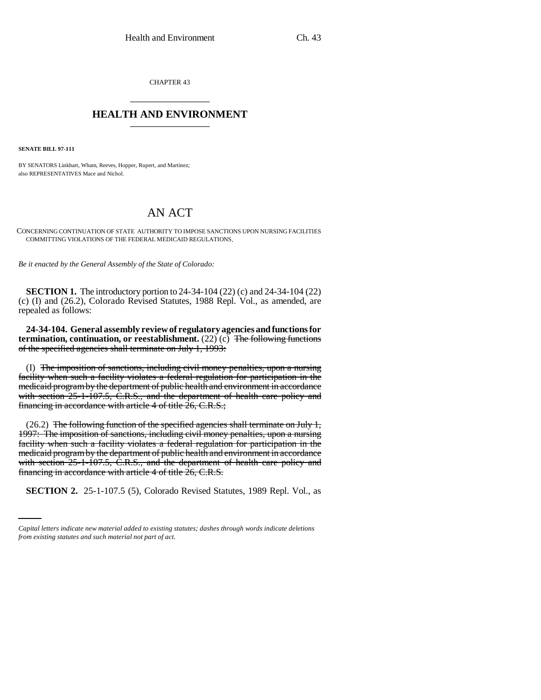CHAPTER 43 \_\_\_\_\_\_\_\_\_\_\_\_\_\_\_

## **HEALTH AND ENVIRONMENT** \_\_\_\_\_\_\_\_\_\_\_\_\_\_\_

**SENATE BILL 97-111**

BY SENATORS Linkhart, Wham, Reeves, Hopper, Rupert, and Martinez; also REPRESENTATIVES Mace and Nichol.

## AN ACT

CONCERNING CONTINUATION OF STATE AUTHORITY TO IMPOSE SANCTIONS UPON NURSING FACILITIES COMMITTING VIOLATIONS OF THE FEDERAL MEDICAID REGULATIONS.

*Be it enacted by the General Assembly of the State of Colorado:*

**SECTION 1.** The introductory portion to 24-34-104 (22) (c) and 24-34-104 (22) (c) (I) and (26.2), Colorado Revised Statutes, 1988 Repl. Vol., as amended, are repealed as follows:

**24-34-104. General assembly review of regulatory agencies and functions for termination, continuation, or reestablishment.** (22) (c) The following functions of the specified agencies shall terminate on July 1, 1993:

(I) The imposition of sanctions, including civil money penalties, upon a nursing facility when such a facility violates a federal regulation for participation in the medicaid program by the department of public health and environment in accordance with section 25-1-107.5, C.R.S., and the department of health care policy and financing in accordance with article 4 of title 26, C.R.S.;

financing in accordance with article 4 of title 26, C.R.S.  $(26.2)$  The following function of the specified agencies shall terminate on July 1, 1997: The imposition of sanctions, including civil money penalties, upon a nursing facility when such a facility violates a federal regulation for participation in the medicaid program by the department of public health and environment in accordance with section 25-1-107.5, C.R.S., and the department of health care policy and

**SECTION 2.** 25-1-107.5 (5), Colorado Revised Statutes, 1989 Repl. Vol., as

*Capital letters indicate new material added to existing statutes; dashes through words indicate deletions from existing statutes and such material not part of act.*